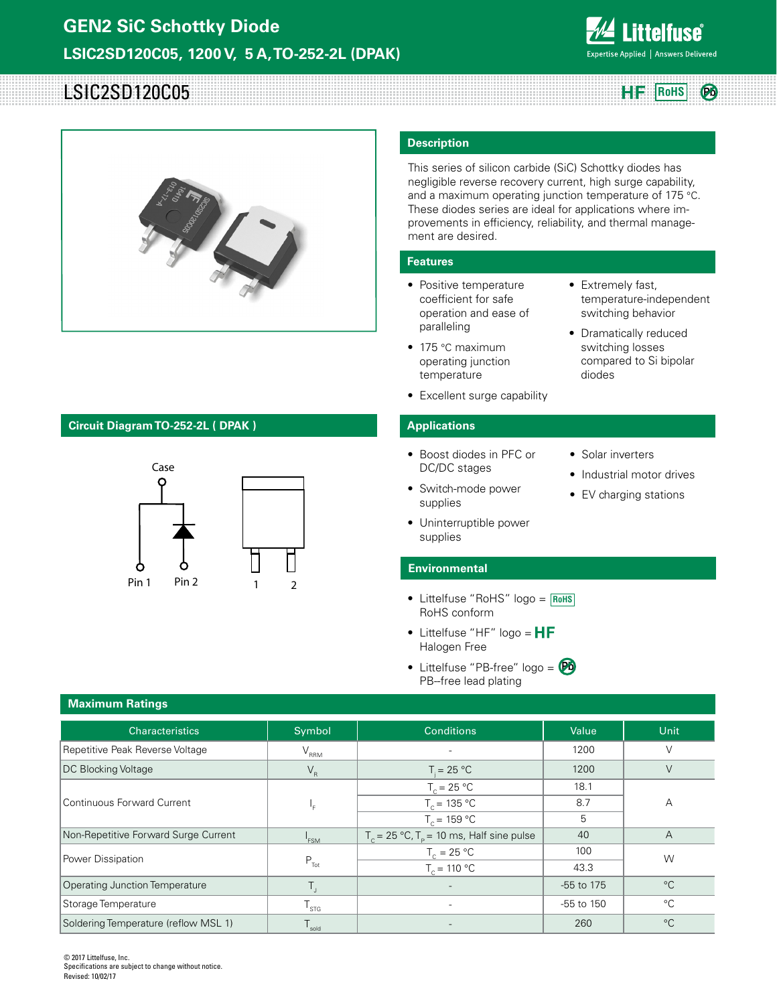

**Pb**

# LSIC2SD120C05 **Rights Rights Rohs Rights Rights Rights Rights Rights Rights Rights**



## **Circuit Diagram TO-252-2L ( DPAK )**



### **Description**

This series of silicon carbide (SiC) Schottky diodes has negligible reverse recovery current, high surge capability, and a maximum operating junction temperature of 175 °C. These diodes series are ideal for applications where improvements in efficiency, reliability, and thermal management are desired.

### **Features**

- Positive temperature coefficient for safe operation and ease of paralleling
- 175 °C maximum operating junction temperature
- Excellent surge capability

### **Applications**

- Boost diodes in PFC or DC/DC stages
- Switch-mode power supplies
- Uninterruptible power supplies
- Industrial motor drives • EV charging stations

• Solar inverters

diodes

• Extremely fast,

temperature-independent switching behavior • Dramatically reduced switching losses compared to Si bipolar

# **Environmental**

- Littelfuse "RoHS" logo = **RoHS** RoHS conform
- Littelfuse "HF" logo =  $HF$ Halogen Free
- Littelfuse "PB-free" logo = **Pb**PB--free lead plating

| <b>Characteristics</b>               | Symbol           | <b>Conditions</b>                                              | Value      | Unit           |  |
|--------------------------------------|------------------|----------------------------------------------------------------|------------|----------------|--|
| Repetitive Peak Reverse Voltage      | $V_{\rm RRM}$    |                                                                | 1200       | $\vee$         |  |
| DC Blocking Voltage                  | $V_R$            | $T = 25 °C$                                                    | 1200       | $\vee$         |  |
|                                      | $T_c = 25 °C$    |                                                                | 18.1       |                |  |
| <b>Continuous Forward Current</b>    | ١F               | $T_c = 135 °C$                                                 | 8.7        | A              |  |
|                                      |                  | $T_c = 159 °C$                                                 | 5          |                |  |
| Non-Repetitive Forward Surge Current | <sup>1</sup> FSM | $T_c = 25 \degree C$ , $T_p = 10 \text{ ms}$ , Half sine pulse | 40         | $\overline{A}$ |  |
| Power Dissipation                    |                  | $T_c = 25 °C$                                                  | 100        | W              |  |
|                                      | $P_{\text{Tot}}$ | $T_c = 110 °C$                                                 | 43.3       |                |  |
| Operating Junction Temperature       |                  |                                                                | -55 to 175 | $^{\circ}C$    |  |
| Storage Temperature                  | $T_{\rm STG}$    | $\overline{\phantom{a}}$                                       | -55 to 150 | $^{\circ}$ C   |  |
| Soldering Temperature (reflow MSL 1) | I sold           |                                                                | 260        | $^{\circ}C$    |  |

© 2017 Littelfuse, Inc. Specifications are subject to change without notice. Revised: 10/02/17

# **Maximum Ratings**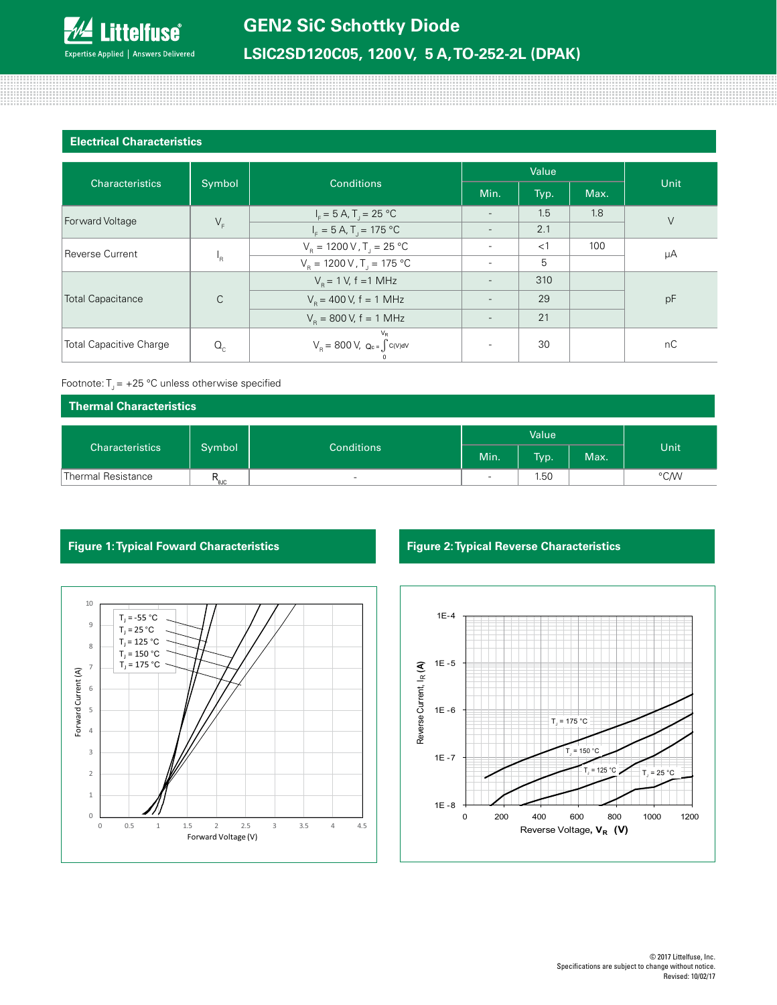

# **LSIC2SD120C05, 1200 V, 5 A, TO-252-2L (DPAK)**

### **Electrical Characteristics**

88888888888

| <b>Characteristics</b><br>Symbol |              |                                                                                                                      | Value                    |       |      |        |  |
|----------------------------------|--------------|----------------------------------------------------------------------------------------------------------------------|--------------------------|-------|------|--------|--|
|                                  |              | <b>Conditions</b>                                                                                                    | Min.                     | Typ.  | Max. | Unit   |  |
| Forward Voltage                  |              | $I_F = 5 A$ , $T_J = 25 °C$                                                                                          |                          | 1.5   | 1.8  | $\vee$ |  |
|                                  | $V_F$        | $IF = 5 A, TT = 175 °C$                                                                                              | $\overline{\phantom{a}}$ | 2.1   |      |        |  |
| Reverse Current                  | 'R           | $V_B = 1200 \text{ V}$ , T <sub>1</sub> = 25 °C                                                                      |                          | $<$ 1 | 100  | μA     |  |
|                                  |              | $V_R = 1200 V$ , T <sub>J</sub> = 175 °C                                                                             | $\overline{\phantom{a}}$ | 5     |      |        |  |
| <b>Total Capacitance</b>         |              | $V_{\rm B} = 1$ V, f = 1 MHz                                                                                         |                          | 310   |      | pF     |  |
|                                  | $\mathsf{C}$ | $V_{\rm B}$ = 400 V, f = 1 MHz                                                                                       |                          | 29    |      |        |  |
|                                  |              | $V_{\rm B} = 800 \text{ V}, f = 1 \text{ MHz}$                                                                       |                          | 21    |      |        |  |
| <b>Total Capacitive Charge</b>   | $Q_{c}$      | $V_R$<br>$\text{V}_{\textrm{R}} = \, 800 \; \text{V}, \; \text{Q}_{\textrm{c}} \text{ =} \int c(\text{V}) \text{dV}$ |                          | 30    |      | nC     |  |

### Footnote:  $T_1 = +25$  °C unless otherwise specified

| Thermal Characteristics |        |                          |       |      |      |      |
|-------------------------|--------|--------------------------|-------|------|------|------|
|                         |        |                          | Value |      |      |      |
| <b>Characteristics</b>  | Symbol | <b>Conditions</b>        | Min.  | Typ. | Max. | Unit |
| Thermal Resistance      | ' `ajc | $\overline{\phantom{0}}$ | -     | 1.50 |      | °C/W |



### **Figure 1: Typical Foward Characteristics Figure 2: Typical Reverse Characteristics**

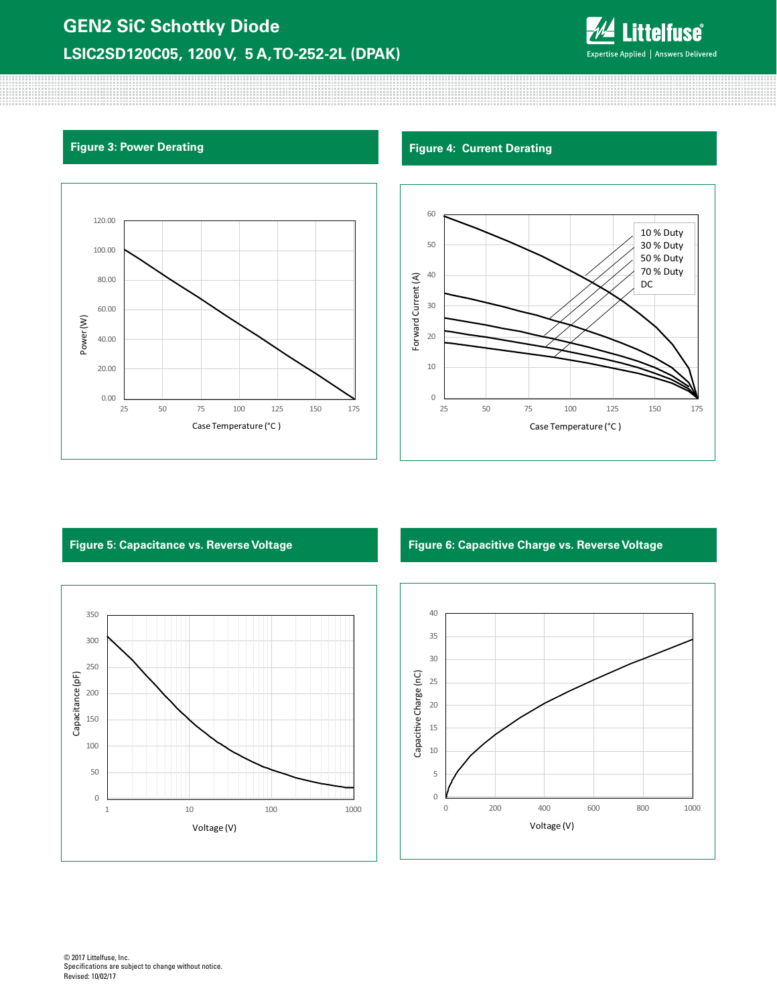# **GEN2 SiC Schottky Diode LSIC2SD120C05, 1200 V, 5 A, TO-252-2L (DPAK)**



80000000000



## **Figure 3: Power Derating Figure 4: Current Derating Figure 4: Current Derating**





### **Figure 5: Capacitance vs. Reverse Voltage Figure 6: Capacitive Charge vs. Reverse Voltage**

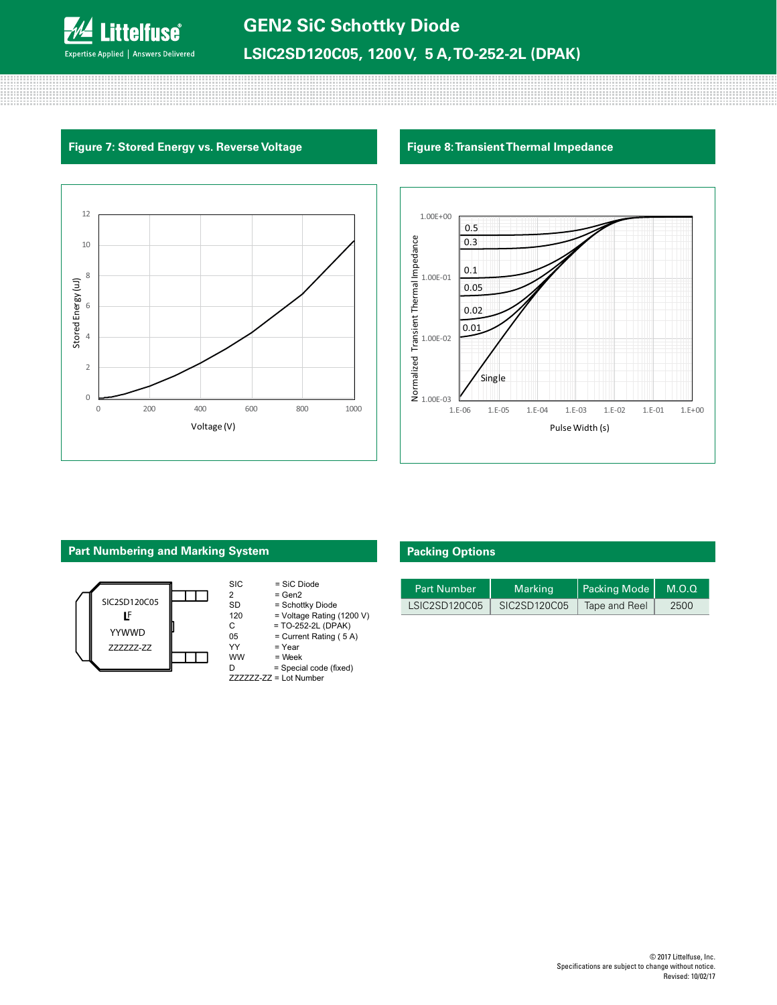

### **Figure 7: Stored Energy vs. Reverse Voltage Figure 8: Transient Thermal Impedance**





# **Part Numbering and Marking System**



| <b>SIC</b>     | = SiC Diode                  |
|----------------|------------------------------|
| $\overline{2}$ | $= Gen2$                     |
| SD             | = Schottky Diode             |
| 120            | = Voltage Rating (1200 V)    |
| C              | = TO-252-2L (DPAK)           |
| 05             | $=$ Current Rating (5A)      |
| YY             | = Year                       |
| <b>WW</b>      | = Week                       |
| D              | = Special code (fixed)       |
|                | $ZZZZZZ$ - $ZZ =$ Lot Number |

### **Packing Options**

| <b>Part Number</b> | Marking      | Packing Mode  | M.O.Q |
|--------------------|--------------|---------------|-------|
| LSIC2SD120C05      | SIC2SD120C05 | Tape and Reel | 2500  |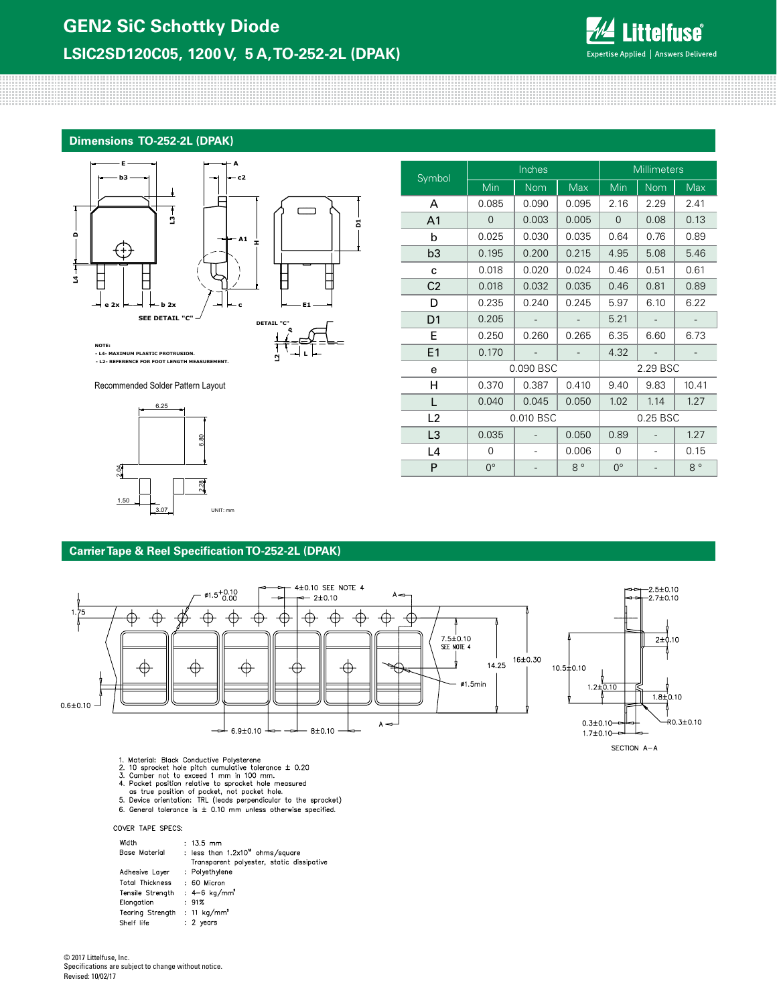

### **Dimensions TO-252-2L (DPAK)**



**L**

**L2**

**- L4- MAXIMUM PLASTIC PROTRUSION. - L2- REFERENCE FOR FOOT LENGTH MEASUREMENT.**

Recommended Solder Pattern Layout



| Symbol         | Inches      |            |             | <b>Millimeters</b> |      |             |  |
|----------------|-------------|------------|-------------|--------------------|------|-------------|--|
|                | Min         | <b>Nom</b> | Max         | Min                | Nom  | Max         |  |
| A              | 0.085       | 0.090      | 0.095       | 2.16               | 2.29 | 2.41        |  |
| A <sub>1</sub> | 0           | 0.003      | 0.005       | 0                  | 0.08 | 0.13        |  |
| b              | 0.025       | 0.030      | 0.035       | 0.64               | 0.76 | 0.89        |  |
| b <sub>3</sub> | 0.195       | 0.200      | 0.215       | 4.95               | 5.08 | 5.46        |  |
| C              | 0.018       | 0.020      | 0.024       | 0.46               | 0.51 | 0.61        |  |
| C <sub>2</sub> | 0.018       | 0.032      | 0.035       | 0.46               | 0.81 | 0.89        |  |
| D              | 0.235       | 0.240      | 0.245       | 5.97               | 6.10 | 6.22        |  |
| D <sub>1</sub> | 0.205       |            |             | 5.21               |      |             |  |
| Е              | 0.250       | 0.260      | 0.265       | 6.35               | 6.60 | 6.73        |  |
| E1             | 0.170       |            |             | 4.32               |      |             |  |
| e              | 0.090 BSC   |            |             | 2.29 BSC           |      |             |  |
| н              | 0.370       | 0.387      | 0.410       | 9.40               | 9.83 | 10.41       |  |
| L              | 0.040       | 0.045      | 0.050       | 1.02               | 1.14 | 1.27        |  |
| L2             | 0.010 BSC   |            |             | 0.25 BSC           |      |             |  |
| L <sub>3</sub> | 0.035       |            | 0.050       | 0.89               |      | 1.27        |  |
| L <sub>4</sub> | 0           |            | 0.006       | 0                  |      | 0.15        |  |
| P              | $0^{\circ}$ |            | $8^{\circ}$ | $0^{\circ}$        |      | $8^{\circ}$ |  |

### **Carrier Tape & Reel Specification TO-252-2L (DPAK)**



- 1. Material: Black Conductive Polysterene<br>
2. 10 sprocket hole pitch cumulative tolerance  $\pm$  0.20<br>
3. Camber not to exceed 1 mm in 100 mm.<br>
4. Pocket position relative to sprocket hole measured<br>
as true position of pock
- 6. General tolerance is  $\pm$  0.10 mm unless otherwise specified.

COVER TAPE SPECS:

| Width<br>Base Material                   | $: 13.5$ mm<br>: less than $1.2 \times 10^{12}$ ohms/square<br>Transparent polyester, static dissipative |
|------------------------------------------|----------------------------------------------------------------------------------------------------------|
| Adhesive Layer                           | : Polyethylene                                                                                           |
| <b>Total Thickness</b>                   | : 60 Micron                                                                                              |
| Tensile Strenath                         | $: 4 - 6$ kg/mm <sup>2</sup>                                                                             |
| Elongation                               | :91%                                                                                                     |
| Tearing Strength : 11 kg/mm <sup>2</sup> |                                                                                                          |
| Shelf life                               | $: 2$ years                                                                                              |

© 2017 Littelfuse, Inc. Specifications are subject to change without notice. Revised: 10/02/17